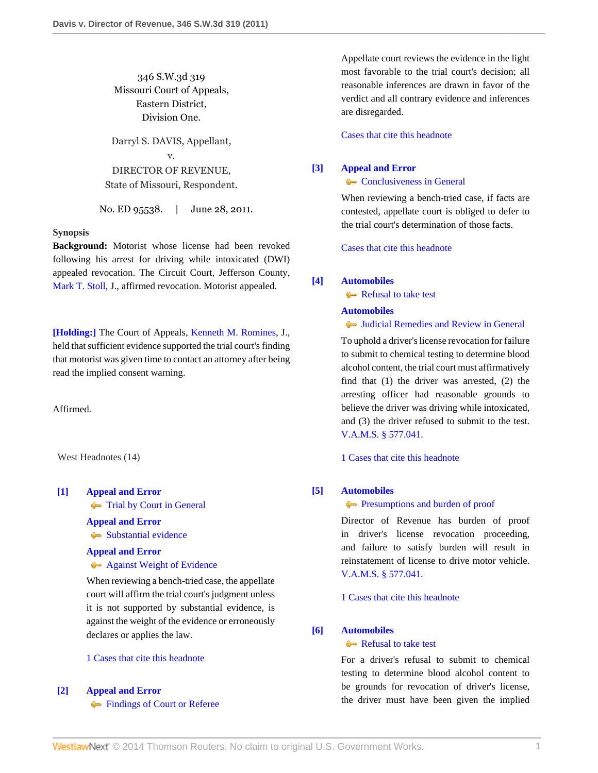346 S.W.3d 319 Missouri Court of Appeals, Eastern District, Division One.

Darryl S. DAVIS, Appellant, v. DIRECTOR OF REVENUE, State of Missouri, Respondent.

No. ED 95538. | June 28, 2011.

#### **Synopsis**

**Background:** Motorist whose license had been revoked following his arrest for driving while intoxicated (DWI) appealed revocation. The Circuit Court, Jefferson County, [Mark T. Stoll](http://www.westlaw.com/Link/Document/FullText?findType=h&pubNum=176284&cite=0280802501&originatingDoc=Ic0709be7a2c411e08bbeb4ca0e5b8ed9&refType=RQ&originationContext=document&vr=3.0&rs=cblt1.0&transitionType=DocumentItem&contextData=(sc.Search)), J., affirmed revocation. Motorist appealed.

**[\[Holding:\]](#page-1-0)** The Court of Appeals, [Kenneth M. Romines,](http://www.westlaw.com/Link/Document/FullText?findType=h&pubNum=176284&cite=0175222401&originatingDoc=Ic0709be7a2c411e08bbeb4ca0e5b8ed9&refType=RQ&originationContext=document&vr=3.0&rs=cblt1.0&transitionType=DocumentItem&contextData=(sc.Search)) J., held that sufficient evidence supported the trial court's finding that motorist was given time to contact an attorney after being read the implied consent warning.

Affirmed.

West Headnotes (14)

#### <span id="page-0-0"></span>**[\[1\]](#page-2-0) [Appeal and Error](http://www.westlaw.com/Browse/Home/KeyNumber/30/View.html?docGuid=Ic0709be7a2c411e08bbeb4ca0e5b8ed9&originationContext=document&vr=3.0&rs=cblt1.0&transitionType=DocumentItem&contextData=(sc.Search))**

**[Trial by Court in General](http://www.westlaw.com/Browse/Home/KeyNumber/30k846/View.html?docGuid=Ic0709be7a2c411e08bbeb4ca0e5b8ed9&originationContext=document&vr=3.0&rs=cblt1.0&transitionType=DocumentItem&contextData=(sc.Search))** 

# **[Appeal and Error](http://www.westlaw.com/Browse/Home/KeyNumber/30/View.html?docGuid=Ic0709be7a2c411e08bbeb4ca0e5b8ed9&originationContext=document&vr=3.0&rs=cblt1.0&transitionType=DocumentItem&contextData=(sc.Search))**

[Substantial evidence](http://www.westlaw.com/Browse/Home/KeyNumber/30k1010.1(6)/View.html?docGuid=Ic0709be7a2c411e08bbeb4ca0e5b8ed9&originationContext=document&vr=3.0&rs=cblt1.0&transitionType=DocumentItem&contextData=(sc.Search))

## **[Appeal and Error](http://www.westlaw.com/Browse/Home/KeyNumber/30/View.html?docGuid=Ic0709be7a2c411e08bbeb4ca0e5b8ed9&originationContext=document&vr=3.0&rs=cblt1.0&transitionType=DocumentItem&contextData=(sc.Search)) [Against Weight of Evidence](http://www.westlaw.com/Browse/Home/KeyNumber/30k1012/View.html?docGuid=Ic0709be7a2c411e08bbeb4ca0e5b8ed9&originationContext=document&vr=3.0&rs=cblt1.0&transitionType=DocumentItem&contextData=(sc.Search))**

When reviewing a bench-tried case, the appellate court will affirm the trial court's judgment unless it is not supported by substantial evidence, is against the weight of the evidence or erroneously declares or applies the law.

## [1 Cases that cite this headnote](http://www.westlaw.com/Link/RelatedInformation/DocHeadnoteLink?docGuid=Ic0709be7a2c411e08bbeb4ca0e5b8ed9&headnoteId=202557085800120111117131627&originationContext=document&vr=3.0&rs=cblt1.0&transitionType=CitingReferences&contextData=(sc.Search))

## <span id="page-0-1"></span>**[\[2\]](#page-2-1) [Appeal and Error](http://www.westlaw.com/Browse/Home/KeyNumber/30/View.html?docGuid=Ic0709be7a2c411e08bbeb4ca0e5b8ed9&originationContext=document&vr=3.0&rs=cblt1.0&transitionType=DocumentItem&contextData=(sc.Search))**

**[Findings of Court or Referee](http://www.westlaw.com/Browse/Home/KeyNumber/30k931/View.html?docGuid=Ic0709be7a2c411e08bbeb4ca0e5b8ed9&originationContext=document&vr=3.0&rs=cblt1.0&transitionType=DocumentItem&contextData=(sc.Search))** 

Appellate court reviews the evidence in the light most favorable to the trial court's decision; all reasonable inferences are drawn in favor of the verdict and all contrary evidence and inferences are disregarded.

[Cases that cite this headnote](http://www.westlaw.com/Link/RelatedInformation/DocHeadnoteLink?docGuid=Ic0709be7a2c411e08bbeb4ca0e5b8ed9&headnoteId=202557085800220111117131627&originationContext=document&vr=3.0&rs=cblt1.0&transitionType=CitingReferences&contextData=(sc.Search))

## <span id="page-0-2"></span>**[\[3\]](#page-2-2) [Appeal and Error](http://www.westlaw.com/Browse/Home/KeyNumber/30/View.html?docGuid=Ic0709be7a2c411e08bbeb4ca0e5b8ed9&originationContext=document&vr=3.0&rs=cblt1.0&transitionType=DocumentItem&contextData=(sc.Search))**

## **[Conclusiveness in General](http://www.westlaw.com/Browse/Home/KeyNumber/30k1008/View.html?docGuid=Ic0709be7a2c411e08bbeb4ca0e5b8ed9&originationContext=document&vr=3.0&rs=cblt1.0&transitionType=DocumentItem&contextData=(sc.Search))**

When reviewing a bench-tried case, if facts are contested, appellate court is obliged to defer to the trial court's determination of those facts.

[Cases that cite this headnote](http://www.westlaw.com/Link/RelatedInformation/DocHeadnoteLink?docGuid=Ic0709be7a2c411e08bbeb4ca0e5b8ed9&headnoteId=202557085800320111117131627&originationContext=document&vr=3.0&rs=cblt1.0&transitionType=CitingReferences&contextData=(sc.Search))

## <span id="page-0-3"></span>**[\[4\]](#page-2-3) [Automobiles](http://www.westlaw.com/Browse/Home/KeyNumber/48A/View.html?docGuid=Ic0709be7a2c411e08bbeb4ca0e5b8ed9&originationContext=document&vr=3.0&rs=cblt1.0&transitionType=DocumentItem&contextData=(sc.Search))**

[Refusal to take test](http://www.westlaw.com/Browse/Home/KeyNumber/48Ak144.1(1.20)/View.html?docGuid=Ic0709be7a2c411e08bbeb4ca0e5b8ed9&originationContext=document&vr=3.0&rs=cblt1.0&transitionType=DocumentItem&contextData=(sc.Search))

## **[Automobiles](http://www.westlaw.com/Browse/Home/KeyNumber/48A/View.html?docGuid=Ic0709be7a2c411e08bbeb4ca0e5b8ed9&originationContext=document&vr=3.0&rs=cblt1.0&transitionType=DocumentItem&contextData=(sc.Search))**

[Judicial Remedies and Review in General](http://www.westlaw.com/Browse/Home/KeyNumber/48Ak144.2(2)/View.html?docGuid=Ic0709be7a2c411e08bbeb4ca0e5b8ed9&originationContext=document&vr=3.0&rs=cblt1.0&transitionType=DocumentItem&contextData=(sc.Search))

To uphold a driver's license revocation for failure to submit to chemical testing to determine blood alcohol content, the trial court must affirmatively find that (1) the driver was arrested, (2) the arresting officer had reasonable grounds to believe the driver was driving while intoxicated, and (3) the driver refused to submit to the test. [V.A.M.S. § 577.041.](http://www.westlaw.com/Link/Document/FullText?findType=L&pubNum=1000229&cite=MOST577.041&originatingDoc=Ic0709be7a2c411e08bbeb4ca0e5b8ed9&refType=LQ&originationContext=document&vr=3.0&rs=cblt1.0&transitionType=DocumentItem&contextData=(sc.Search))

[1 Cases that cite this headnote](http://www.westlaw.com/Link/RelatedInformation/DocHeadnoteLink?docGuid=Ic0709be7a2c411e08bbeb4ca0e5b8ed9&headnoteId=202557085800420111117131627&originationContext=document&vr=3.0&rs=cblt1.0&transitionType=CitingReferences&contextData=(sc.Search))

#### <span id="page-0-4"></span>**[\[5\]](#page-2-4) [Automobiles](http://www.westlaw.com/Browse/Home/KeyNumber/48A/View.html?docGuid=Ic0709be7a2c411e08bbeb4ca0e5b8ed9&originationContext=document&vr=3.0&rs=cblt1.0&transitionType=DocumentItem&contextData=(sc.Search))**

#### **[Presumptions and burden of proof](http://www.westlaw.com/Browse/Home/KeyNumber/48Ak144.2(9.6)/View.html?docGuid=Ic0709be7a2c411e08bbeb4ca0e5b8ed9&originationContext=document&vr=3.0&rs=cblt1.0&transitionType=DocumentItem&contextData=(sc.Search))**

Director of Revenue has burden of proof in driver's license revocation proceeding, and failure to satisfy burden will result in reinstatement of license to drive motor vehicle. [V.A.M.S. § 577.041.](http://www.westlaw.com/Link/Document/FullText?findType=L&pubNum=1000229&cite=MOST577.041&originatingDoc=Ic0709be7a2c411e08bbeb4ca0e5b8ed9&refType=LQ&originationContext=document&vr=3.0&rs=cblt1.0&transitionType=DocumentItem&contextData=(sc.Search))

[1 Cases that cite this headnote](http://www.westlaw.com/Link/RelatedInformation/DocHeadnoteLink?docGuid=Ic0709be7a2c411e08bbeb4ca0e5b8ed9&headnoteId=202557085800520111117131627&originationContext=document&vr=3.0&rs=cblt1.0&transitionType=CitingReferences&contextData=(sc.Search))

#### <span id="page-0-5"></span>**[\[6\]](#page-3-0) [Automobiles](http://www.westlaw.com/Browse/Home/KeyNumber/48A/View.html?docGuid=Ic0709be7a2c411e08bbeb4ca0e5b8ed9&originationContext=document&vr=3.0&rs=cblt1.0&transitionType=DocumentItem&contextData=(sc.Search))**

#### [Refusal to take test](http://www.westlaw.com/Browse/Home/KeyNumber/48Ak144.1(1.20)/View.html?docGuid=Ic0709be7a2c411e08bbeb4ca0e5b8ed9&originationContext=document&vr=3.0&rs=cblt1.0&transitionType=DocumentItem&contextData=(sc.Search))

For a driver's refusal to submit to chemical testing to determine blood alcohol content to be grounds for revocation of driver's license, the driver must have been given the implied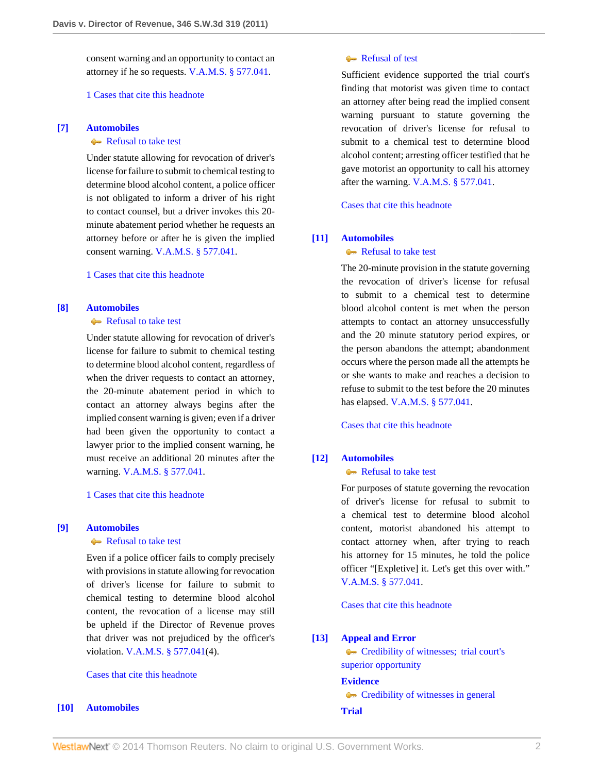consent warning and an opportunity to contact an attorney if he so requests. [V.A.M.S. § 577.041.](http://www.westlaw.com/Link/Document/FullText?findType=L&pubNum=1000229&cite=MOST577.041&originatingDoc=Ic0709be7a2c411e08bbeb4ca0e5b8ed9&refType=LQ&originationContext=document&vr=3.0&rs=cblt1.0&transitionType=DocumentItem&contextData=(sc.Search))

## [1 Cases that cite this headnote](http://www.westlaw.com/Link/RelatedInformation/DocHeadnoteLink?docGuid=Ic0709be7a2c411e08bbeb4ca0e5b8ed9&headnoteId=202557085800620111117131627&originationContext=document&vr=3.0&rs=cblt1.0&transitionType=CitingReferences&contextData=(sc.Search))

## <span id="page-1-1"></span>**[\[7\]](#page-3-1) [Automobiles](http://www.westlaw.com/Browse/Home/KeyNumber/48A/View.html?docGuid=Ic0709be7a2c411e08bbeb4ca0e5b8ed9&originationContext=document&vr=3.0&rs=cblt1.0&transitionType=DocumentItem&contextData=(sc.Search))**

#### [Refusal to take test](http://www.westlaw.com/Browse/Home/KeyNumber/48Ak144.1(1.20)/View.html?docGuid=Ic0709be7a2c411e08bbeb4ca0e5b8ed9&originationContext=document&vr=3.0&rs=cblt1.0&transitionType=DocumentItem&contextData=(sc.Search))

Under statute allowing for revocation of driver's license for failure to submit to chemical testing to determine blood alcohol content, a police officer is not obligated to inform a driver of his right to contact counsel, but a driver invokes this 20 minute abatement period whether he requests an attorney before or after he is given the implied consent warning. [V.A.M.S. § 577.041.](http://www.westlaw.com/Link/Document/FullText?findType=L&pubNum=1000229&cite=MOST577.041&originatingDoc=Ic0709be7a2c411e08bbeb4ca0e5b8ed9&refType=LQ&originationContext=document&vr=3.0&rs=cblt1.0&transitionType=DocumentItem&contextData=(sc.Search))

## [1 Cases that cite this headnote](http://www.westlaw.com/Link/RelatedInformation/DocHeadnoteLink?docGuid=Ic0709be7a2c411e08bbeb4ca0e5b8ed9&headnoteId=202557085800720111117131627&originationContext=document&vr=3.0&rs=cblt1.0&transitionType=CitingReferences&contextData=(sc.Search))

# <span id="page-1-2"></span>**[\[8\]](#page-3-2) [Automobiles](http://www.westlaw.com/Browse/Home/KeyNumber/48A/View.html?docGuid=Ic0709be7a2c411e08bbeb4ca0e5b8ed9&originationContext=document&vr=3.0&rs=cblt1.0&transitionType=DocumentItem&contextData=(sc.Search))**

# [Refusal to take test](http://www.westlaw.com/Browse/Home/KeyNumber/48Ak144.1(1.20)/View.html?docGuid=Ic0709be7a2c411e08bbeb4ca0e5b8ed9&originationContext=document&vr=3.0&rs=cblt1.0&transitionType=DocumentItem&contextData=(sc.Search))

Under statute allowing for revocation of driver's license for failure to submit to chemical testing to determine blood alcohol content, regardless of when the driver requests to contact an attorney, the 20-minute abatement period in which to contact an attorney always begins after the implied consent warning is given; even if a driver had been given the opportunity to contact a lawyer prior to the implied consent warning, he must receive an additional 20 minutes after the warning. [V.A.M.S. § 577.041.](http://www.westlaw.com/Link/Document/FullText?findType=L&pubNum=1000229&cite=MOST577.041&originatingDoc=Ic0709be7a2c411e08bbeb4ca0e5b8ed9&refType=LQ&originationContext=document&vr=3.0&rs=cblt1.0&transitionType=DocumentItem&contextData=(sc.Search))

## [1 Cases that cite this headnote](http://www.westlaw.com/Link/RelatedInformation/DocHeadnoteLink?docGuid=Ic0709be7a2c411e08bbeb4ca0e5b8ed9&headnoteId=202557085800820111117131627&originationContext=document&vr=3.0&rs=cblt1.0&transitionType=CitingReferences&contextData=(sc.Search))

#### <span id="page-1-3"></span>**[\[9\]](#page-3-3) [Automobiles](http://www.westlaw.com/Browse/Home/KeyNumber/48A/View.html?docGuid=Ic0709be7a2c411e08bbeb4ca0e5b8ed9&originationContext=document&vr=3.0&rs=cblt1.0&transitionType=DocumentItem&contextData=(sc.Search))**

## [Refusal to take test](http://www.westlaw.com/Browse/Home/KeyNumber/48Ak144.1(1.20)/View.html?docGuid=Ic0709be7a2c411e08bbeb4ca0e5b8ed9&originationContext=document&vr=3.0&rs=cblt1.0&transitionType=DocumentItem&contextData=(sc.Search))

Even if a police officer fails to comply precisely with provisions in statute allowing for revocation of driver's license for failure to submit to chemical testing to determine blood alcohol content, the revocation of a license may still be upheld if the Director of Revenue proves that driver was not prejudiced by the officer's violation. [V.A.M.S. § 577.041](http://www.westlaw.com/Link/Document/FullText?findType=L&pubNum=1000229&cite=MOST577.041&originatingDoc=Ic0709be7a2c411e08bbeb4ca0e5b8ed9&refType=LQ&originationContext=document&vr=3.0&rs=cblt1.0&transitionType=DocumentItem&contextData=(sc.Search))(4).

## [Cases that cite this headnote](http://www.westlaw.com/Link/RelatedInformation/DocHeadnoteLink?docGuid=Ic0709be7a2c411e08bbeb4ca0e5b8ed9&headnoteId=202557085800920111117131627&originationContext=document&vr=3.0&rs=cblt1.0&transitionType=CitingReferences&contextData=(sc.Search))

## <span id="page-1-0"></span>**[\[10\]](#page-3-4) [Automobiles](http://www.westlaw.com/Browse/Home/KeyNumber/48A/View.html?docGuid=Ic0709be7a2c411e08bbeb4ca0e5b8ed9&originationContext=document&vr=3.0&rs=cblt1.0&transitionType=DocumentItem&contextData=(sc.Search))**

## [Refusal of test](http://www.westlaw.com/Browse/Home/KeyNumber/48Ak144.2(10.3)/View.html?docGuid=Ic0709be7a2c411e08bbeb4ca0e5b8ed9&originationContext=document&vr=3.0&rs=cblt1.0&transitionType=DocumentItem&contextData=(sc.Search))

Sufficient evidence supported the trial court's finding that motorist was given time to contact an attorney after being read the implied consent warning pursuant to statute governing the revocation of driver's license for refusal to submit to a chemical test to determine blood alcohol content; arresting officer testified that he gave motorist an opportunity to call his attorney after the warning. [V.A.M.S. § 577.041](http://www.westlaw.com/Link/Document/FullText?findType=L&pubNum=1000229&cite=MOST577.041&originatingDoc=Ic0709be7a2c411e08bbeb4ca0e5b8ed9&refType=LQ&originationContext=document&vr=3.0&rs=cblt1.0&transitionType=DocumentItem&contextData=(sc.Search)).

[Cases that cite this headnote](http://www.westlaw.com/Link/RelatedInformation/DocHeadnoteLink?docGuid=Ic0709be7a2c411e08bbeb4ca0e5b8ed9&headnoteId=202557085801020111117131627&originationContext=document&vr=3.0&rs=cblt1.0&transitionType=CitingReferences&contextData=(sc.Search))

#### <span id="page-1-4"></span>**[\[11\]](#page-3-5) [Automobiles](http://www.westlaw.com/Browse/Home/KeyNumber/48A/View.html?docGuid=Ic0709be7a2c411e08bbeb4ca0e5b8ed9&originationContext=document&vr=3.0&rs=cblt1.0&transitionType=DocumentItem&contextData=(sc.Search))**

## [Refusal to take test](http://www.westlaw.com/Browse/Home/KeyNumber/48Ak144.1(1.20)/View.html?docGuid=Ic0709be7a2c411e08bbeb4ca0e5b8ed9&originationContext=document&vr=3.0&rs=cblt1.0&transitionType=DocumentItem&contextData=(sc.Search))

The 20-minute provision in the statute governing the revocation of driver's license for refusal to submit to a chemical test to determine blood alcohol content is met when the person attempts to contact an attorney unsuccessfully and the 20 minute statutory period expires, or the person abandons the attempt; abandonment occurs where the person made all the attempts he or she wants to make and reaches a decision to refuse to submit to the test before the 20 minutes has elapsed. [V.A.M.S. § 577.041.](http://www.westlaw.com/Link/Document/FullText?findType=L&pubNum=1000229&cite=MOST577.041&originatingDoc=Ic0709be7a2c411e08bbeb4ca0e5b8ed9&refType=LQ&originationContext=document&vr=3.0&rs=cblt1.0&transitionType=DocumentItem&contextData=(sc.Search))

[Cases that cite this headnote](http://www.westlaw.com/Link/RelatedInformation/DocHeadnoteLink?docGuid=Ic0709be7a2c411e08bbeb4ca0e5b8ed9&headnoteId=202557085801120111117131627&originationContext=document&vr=3.0&rs=cblt1.0&transitionType=CitingReferences&contextData=(sc.Search))

#### <span id="page-1-5"></span>**[\[12\]](#page-3-6) [Automobiles](http://www.westlaw.com/Browse/Home/KeyNumber/48A/View.html?docGuid=Ic0709be7a2c411e08bbeb4ca0e5b8ed9&originationContext=document&vr=3.0&rs=cblt1.0&transitionType=DocumentItem&contextData=(sc.Search))**

## [Refusal to take test](http://www.westlaw.com/Browse/Home/KeyNumber/48Ak144.1(1.20)/View.html?docGuid=Ic0709be7a2c411e08bbeb4ca0e5b8ed9&originationContext=document&vr=3.0&rs=cblt1.0&transitionType=DocumentItem&contextData=(sc.Search))

For purposes of statute governing the revocation of driver's license for refusal to submit to a chemical test to determine blood alcohol content, motorist abandoned his attempt to contact attorney when, after trying to reach his attorney for 15 minutes, he told the police officer "[Expletive] it. Let's get this over with." [V.A.M.S. § 577.041.](http://www.westlaw.com/Link/Document/FullText?findType=L&pubNum=1000229&cite=MOST577.041&originatingDoc=Ic0709be7a2c411e08bbeb4ca0e5b8ed9&refType=LQ&originationContext=document&vr=3.0&rs=cblt1.0&transitionType=DocumentItem&contextData=(sc.Search))

[Cases that cite this headnote](http://www.westlaw.com/Link/RelatedInformation/DocHeadnoteLink?docGuid=Ic0709be7a2c411e08bbeb4ca0e5b8ed9&headnoteId=202557085801220111117131627&originationContext=document&vr=3.0&rs=cblt1.0&transitionType=CitingReferences&contextData=(sc.Search))

#### <span id="page-1-6"></span>**[\[13\]](#page-3-7) [Appeal and Error](http://www.westlaw.com/Browse/Home/KeyNumber/30/View.html?docGuid=Ic0709be7a2c411e08bbeb4ca0e5b8ed9&originationContext=document&vr=3.0&rs=cblt1.0&transitionType=DocumentItem&contextData=(sc.Search))**

[Credibility of witnesses; trial court's](http://www.westlaw.com/Browse/Home/KeyNumber/30k1008.1(4)/View.html?docGuid=Ic0709be7a2c411e08bbeb4ca0e5b8ed9&originationContext=document&vr=3.0&rs=cblt1.0&transitionType=DocumentItem&contextData=(sc.Search)) [superior opportunity](http://www.westlaw.com/Browse/Home/KeyNumber/30k1008.1(4)/View.html?docGuid=Ic0709be7a2c411e08bbeb4ca0e5b8ed9&originationContext=document&vr=3.0&rs=cblt1.0&transitionType=DocumentItem&contextData=(sc.Search))

#### **[Evidence](http://www.westlaw.com/Browse/Home/KeyNumber/157/View.html?docGuid=Ic0709be7a2c411e08bbeb4ca0e5b8ed9&originationContext=document&vr=3.0&rs=cblt1.0&transitionType=DocumentItem&contextData=(sc.Search))**

**[Credibility of witnesses in general](http://www.westlaw.com/Browse/Home/KeyNumber/157k588/View.html?docGuid=Ic0709be7a2c411e08bbeb4ca0e5b8ed9&originationContext=document&vr=3.0&rs=cblt1.0&transitionType=DocumentItem&contextData=(sc.Search)) [Trial](http://www.westlaw.com/Browse/Home/KeyNumber/388/View.html?docGuid=Ic0709be7a2c411e08bbeb4ca0e5b8ed9&originationContext=document&vr=3.0&rs=cblt1.0&transitionType=DocumentItem&contextData=(sc.Search))**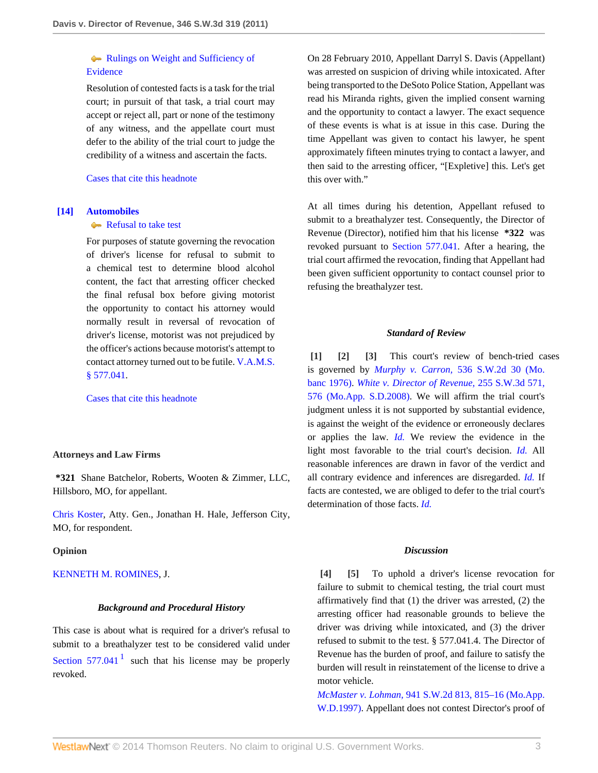# **[Rulings on Weight and Sufficiency of](http://www.westlaw.com/Browse/Home/KeyNumber/388k381/View.html?docGuid=Ic0709be7a2c411e08bbeb4ca0e5b8ed9&originationContext=document&vr=3.0&rs=cblt1.0&transitionType=DocumentItem&contextData=(sc.Search))** [Evidence](http://www.westlaw.com/Browse/Home/KeyNumber/388k381/View.html?docGuid=Ic0709be7a2c411e08bbeb4ca0e5b8ed9&originationContext=document&vr=3.0&rs=cblt1.0&transitionType=DocumentItem&contextData=(sc.Search))

Resolution of contested facts is a task for the trial court; in pursuit of that task, a trial court may accept or reject all, part or none of the testimony of any witness, and the appellate court must defer to the ability of the trial court to judge the credibility of a witness and ascertain the facts.

# [Cases that cite this headnote](http://www.westlaw.com/Link/RelatedInformation/DocHeadnoteLink?docGuid=Ic0709be7a2c411e08bbeb4ca0e5b8ed9&headnoteId=202557085801320111117131627&originationContext=document&vr=3.0&rs=cblt1.0&transitionType=CitingReferences&contextData=(sc.Search))

## <span id="page-2-5"></span>**[\[14\]](#page-4-0) [Automobiles](http://www.westlaw.com/Browse/Home/KeyNumber/48A/View.html?docGuid=Ic0709be7a2c411e08bbeb4ca0e5b8ed9&originationContext=document&vr=3.0&rs=cblt1.0&transitionType=DocumentItem&contextData=(sc.Search))**

# [Refusal to take test](http://www.westlaw.com/Browse/Home/KeyNumber/48Ak144.1(1.20)/View.html?docGuid=Ic0709be7a2c411e08bbeb4ca0e5b8ed9&originationContext=document&vr=3.0&rs=cblt1.0&transitionType=DocumentItem&contextData=(sc.Search))

For purposes of statute governing the revocation of driver's license for refusal to submit to a chemical test to determine blood alcohol content, the fact that arresting officer checked the final refusal box before giving motorist the opportunity to contact his attorney would normally result in reversal of revocation of driver's license, motorist was not prejudiced by the officer's actions because motorist's attempt to contact attorney turned out to be futile. [V.A.M.S.](http://www.westlaw.com/Link/Document/FullText?findType=L&pubNum=1000229&cite=MOST577.041&originatingDoc=Ic0709be7a2c411e08bbeb4ca0e5b8ed9&refType=LQ&originationContext=document&vr=3.0&rs=cblt1.0&transitionType=DocumentItem&contextData=(sc.Search)) [§ 577.041](http://www.westlaw.com/Link/Document/FullText?findType=L&pubNum=1000229&cite=MOST577.041&originatingDoc=Ic0709be7a2c411e08bbeb4ca0e5b8ed9&refType=LQ&originationContext=document&vr=3.0&rs=cblt1.0&transitionType=DocumentItem&contextData=(sc.Search)).

[Cases that cite this headnote](http://www.westlaw.com/Link/RelatedInformation/DocHeadnoteLink?docGuid=Ic0709be7a2c411e08bbeb4ca0e5b8ed9&headnoteId=202557085801420111117131627&originationContext=document&vr=3.0&rs=cblt1.0&transitionType=CitingReferences&contextData=(sc.Search))

## **Attorneys and Law Firms**

**\*321** Shane Batchelor, Roberts, Wooten & Zimmer, LLC, Hillsboro, MO, for appellant.

[Chris Koster,](http://www.westlaw.com/Link/Document/FullText?findType=h&pubNum=176284&cite=0369913201&originatingDoc=Ic0709be7a2c411e08bbeb4ca0e5b8ed9&refType=RQ&originationContext=document&vr=3.0&rs=cblt1.0&transitionType=DocumentItem&contextData=(sc.Search)) Atty. Gen., Jonathan H. Hale, Jefferson City, MO, for respondent.

#### **Opinion**

#### [KENNETH M. ROMINES,](http://www.westlaw.com/Link/Document/FullText?findType=h&pubNum=176284&cite=0175222401&originatingDoc=Ic0709be7a2c411e08bbeb4ca0e5b8ed9&refType=RQ&originationContext=document&vr=3.0&rs=cblt1.0&transitionType=DocumentItem&contextData=(sc.Search)) J.

#### <span id="page-2-6"></span>*Background and Procedural History*

This case is about what is required for a driver's refusal to submit to a breathalyzer test to be considered valid under [Section 577.041](http://www.westlaw.com/Link/Document/FullText?findType=L&pubNum=1000229&cite=MOST577.041&originatingDoc=Ic0709be7a2c411e08bbeb4ca0e5b8ed9&refType=LQ&originationContext=document&vr=3.0&rs=cblt1.0&transitionType=DocumentItem&contextData=(sc.Search))<sup>[1](#page-4-1)</sup> such that his license may be properly revoked.

On 28 February 2010, Appellant Darryl S. Davis (Appellant) was arrested on suspicion of driving while intoxicated. After being transported to the DeSoto Police Station, Appellant was read his Miranda rights, given the implied consent warning and the opportunity to contact a lawyer. The exact sequence of these events is what is at issue in this case. During the time Appellant was given to contact his lawyer, he spent approximately fifteen minutes trying to contact a lawyer, and then said to the arresting officer, "[Expletive] this. Let's get this over with."

At all times during his detention, Appellant refused to submit to a breathalyzer test. Consequently, the Director of Revenue (Director), notified him that his license **\*322** was revoked pursuant to [Section 577.041.](http://www.westlaw.com/Link/Document/FullText?findType=L&pubNum=1000229&cite=MOST577.041&originatingDoc=Ic0709be7a2c411e08bbeb4ca0e5b8ed9&refType=LQ&originationContext=document&vr=3.0&rs=cblt1.0&transitionType=DocumentItem&contextData=(sc.Search)) After a hearing, the trial court affirmed the revocation, finding that Appellant had been given sufficient opportunity to contact counsel prior to refusing the breathalyzer test.

#### <span id="page-2-2"></span><span id="page-2-1"></span>*Standard of Review*

<span id="page-2-0"></span>**[\[1\]](#page-0-0) [\[2\]](#page-0-1) [\[3\]](#page-0-2)** This court's review of bench-tried cases is governed by *Murphy v. Carron,* [536 S.W.2d 30 \(Mo.](http://www.westlaw.com/Link/Document/FullText?findType=Y&serNum=1976117479&pubNum=713&originationContext=document&vr=3.0&rs=cblt1.0&transitionType=DocumentItem&contextData=(sc.Search)) [banc 1976\)](http://www.westlaw.com/Link/Document/FullText?findType=Y&serNum=1976117479&pubNum=713&originationContext=document&vr=3.0&rs=cblt1.0&transitionType=DocumentItem&contextData=(sc.Search)). *[White v. Director of Revenue,](http://www.westlaw.com/Link/Document/FullText?findType=Y&serNum=2016386677&pubNum=4644&fi=co_pp_sp_4644_576&originationContext=document&vr=3.0&rs=cblt1.0&transitionType=DocumentItem&contextData=(sc.Search)#co_pp_sp_4644_576)* 255 S.W.3d 571, [576 \(Mo.App. S.D.2008\).](http://www.westlaw.com/Link/Document/FullText?findType=Y&serNum=2016386677&pubNum=4644&fi=co_pp_sp_4644_576&originationContext=document&vr=3.0&rs=cblt1.0&transitionType=DocumentItem&contextData=(sc.Search)#co_pp_sp_4644_576) We will affirm the trial court's judgment unless it is not supported by substantial evidence, is against the weight of the evidence or erroneously declares or applies the law. *[Id.](http://www.westlaw.com/Link/Document/FullText?findType=Y&serNum=2016386677&originationContext=document&vr=3.0&rs=cblt1.0&transitionType=DocumentItem&contextData=(sc.Search))* We review the evidence in the light most favorable to the trial court's decision. *[Id.](http://www.westlaw.com/Link/Document/FullText?findType=Y&serNum=2016386677&originationContext=document&vr=3.0&rs=cblt1.0&transitionType=DocumentItem&contextData=(sc.Search))* All reasonable inferences are drawn in favor of the verdict and all contrary evidence and inferences are disregarded. *[Id.](http://www.westlaw.com/Link/Document/FullText?findType=Y&serNum=2016386677&originationContext=document&vr=3.0&rs=cblt1.0&transitionType=DocumentItem&contextData=(sc.Search))* If facts are contested, we are obliged to defer to the trial court's determination of those facts. *[Id.](http://www.westlaw.com/Link/Document/FullText?findType=Y&serNum=2016386677&originationContext=document&vr=3.0&rs=cblt1.0&transitionType=DocumentItem&contextData=(sc.Search))*

#### <span id="page-2-4"></span>*Discussion*

<span id="page-2-3"></span>**[\[4\]](#page-0-3) [\[5\]](#page-0-4)** To uphold a driver's license revocation for failure to submit to chemical testing, the trial court must affirmatively find that (1) the driver was arrested, (2) the arresting officer had reasonable grounds to believe the driver was driving while intoxicated, and (3) the driver refused to submit to the test. § 577.041.4. The Director of Revenue has the burden of proof, and failure to satisfy the burden will result in reinstatement of the license to drive a motor vehicle.

*McMaster v. Lohman,* [941 S.W.2d 813, 815–16 \(Mo.App.](http://www.westlaw.com/Link/Document/FullText?findType=Y&serNum=1997079985&pubNum=713&fi=co_pp_sp_713_815&originationContext=document&vr=3.0&rs=cblt1.0&transitionType=DocumentItem&contextData=(sc.Search)#co_pp_sp_713_815) [W.D.1997\).](http://www.westlaw.com/Link/Document/FullText?findType=Y&serNum=1997079985&pubNum=713&fi=co_pp_sp_713_815&originationContext=document&vr=3.0&rs=cblt1.0&transitionType=DocumentItem&contextData=(sc.Search)#co_pp_sp_713_815) Appellant does not contest Director's proof of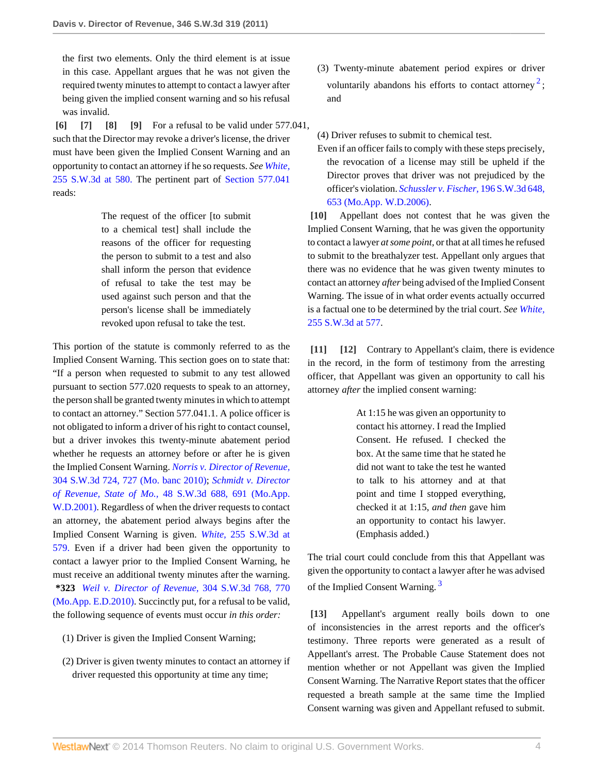the first two elements. Only the third element is at issue in this case. Appellant argues that he was not given the required twenty minutes to attempt to contact a lawyer after being given the implied consent warning and so his refusal was invalid.

<span id="page-3-3"></span><span id="page-3-2"></span><span id="page-3-1"></span><span id="page-3-0"></span>**[\[6\]](#page-0-5) [\[7\]](#page-1-1) [\[8\]](#page-1-2) [\[9\]](#page-1-3)** For a refusal to be valid under 577.041, such that the Director may revoke a driver's license, the driver must have been given the Implied Consent Warning and an opportunity to contact an attorney if he so requests. *See [White,](http://www.westlaw.com/Link/Document/FullText?findType=Y&serNum=2016386677&pubNum=4644&fi=co_pp_sp_4644_580&originationContext=document&vr=3.0&rs=cblt1.0&transitionType=DocumentItem&contextData=(sc.Search)#co_pp_sp_4644_580)* [255 S.W.3d at 580.](http://www.westlaw.com/Link/Document/FullText?findType=Y&serNum=2016386677&pubNum=4644&fi=co_pp_sp_4644_580&originationContext=document&vr=3.0&rs=cblt1.0&transitionType=DocumentItem&contextData=(sc.Search)#co_pp_sp_4644_580) The pertinent part of [Section 577.041](http://www.westlaw.com/Link/Document/FullText?findType=L&pubNum=1000229&cite=MOST577.041&originatingDoc=Ic0709be7a2c411e08bbeb4ca0e5b8ed9&refType=LQ&originationContext=document&vr=3.0&rs=cblt1.0&transitionType=DocumentItem&contextData=(sc.Search)) reads:

> The request of the officer [to submit to a chemical test] shall include the reasons of the officer for requesting the person to submit to a test and also shall inform the person that evidence of refusal to take the test may be used against such person and that the person's license shall be immediately revoked upon refusal to take the test.

This portion of the statute is commonly referred to as the Implied Consent Warning. This section goes on to state that: "If a person when requested to submit to any test allowed pursuant to section 577.020 requests to speak to an attorney, the person shall be granted twenty minutes in which to attempt to contact an attorney." Section 577.041.1. A police officer is not obligated to inform a driver of his right to contact counsel, but a driver invokes this twenty-minute abatement period whether he requests an attorney before or after he is given the Implied Consent Warning. *[Norris v. Director of Revenue,](http://www.westlaw.com/Link/Document/FullText?findType=Y&serNum=2021323368&pubNum=4644&fi=co_pp_sp_4644_727&originationContext=document&vr=3.0&rs=cblt1.0&transitionType=DocumentItem&contextData=(sc.Search)#co_pp_sp_4644_727)* [304 S.W.3d 724, 727 \(Mo. banc 2010\);](http://www.westlaw.com/Link/Document/FullText?findType=Y&serNum=2021323368&pubNum=4644&fi=co_pp_sp_4644_727&originationContext=document&vr=3.0&rs=cblt1.0&transitionType=DocumentItem&contextData=(sc.Search)#co_pp_sp_4644_727) *[Schmidt v. Director](http://www.westlaw.com/Link/Document/FullText?findType=Y&serNum=2001553105&pubNum=4644&fi=co_pp_sp_4644_691&originationContext=document&vr=3.0&rs=cblt1.0&transitionType=DocumentItem&contextData=(sc.Search)#co_pp_sp_4644_691) of Revenue, State of Mo.,* [48 S.W.3d 688, 691 \(Mo.App.](http://www.westlaw.com/Link/Document/FullText?findType=Y&serNum=2001553105&pubNum=4644&fi=co_pp_sp_4644_691&originationContext=document&vr=3.0&rs=cblt1.0&transitionType=DocumentItem&contextData=(sc.Search)#co_pp_sp_4644_691) [W.D.2001\).](http://www.westlaw.com/Link/Document/FullText?findType=Y&serNum=2001553105&pubNum=4644&fi=co_pp_sp_4644_691&originationContext=document&vr=3.0&rs=cblt1.0&transitionType=DocumentItem&contextData=(sc.Search)#co_pp_sp_4644_691) Regardless of when the driver requests to contact an attorney, the abatement period always begins after the Implied Consent Warning is given. *White,* [255 S.W.3d at](http://www.westlaw.com/Link/Document/FullText?findType=Y&serNum=2016386677&pubNum=4644&fi=co_pp_sp_4644_579&originationContext=document&vr=3.0&rs=cblt1.0&transitionType=DocumentItem&contextData=(sc.Search)#co_pp_sp_4644_579) [579.](http://www.westlaw.com/Link/Document/FullText?findType=Y&serNum=2016386677&pubNum=4644&fi=co_pp_sp_4644_579&originationContext=document&vr=3.0&rs=cblt1.0&transitionType=DocumentItem&contextData=(sc.Search)#co_pp_sp_4644_579) Even if a driver had been given the opportunity to contact a lawyer prior to the Implied Consent Warning, he must receive an additional twenty minutes after the warning. **\*323** *[Weil v. Director of Revenue,](http://www.westlaw.com/Link/Document/FullText?findType=Y&serNum=2021414641&pubNum=4644&fi=co_pp_sp_4644_770&originationContext=document&vr=3.0&rs=cblt1.0&transitionType=DocumentItem&contextData=(sc.Search)#co_pp_sp_4644_770)* 304 S.W.3d 768, 770 [\(Mo.App. E.D.2010\)](http://www.westlaw.com/Link/Document/FullText?findType=Y&serNum=2021414641&pubNum=4644&fi=co_pp_sp_4644_770&originationContext=document&vr=3.0&rs=cblt1.0&transitionType=DocumentItem&contextData=(sc.Search)#co_pp_sp_4644_770). Succinctly put, for a refusal to be valid, the following sequence of events must occur *in this order:*

- (1) Driver is given the Implied Consent Warning;
- (2) Driver is given twenty minutes to contact an attorney if driver requested this opportunity at time any time;

<span id="page-3-8"></span>(3) Twenty-minute abatement period expires or driver voluntarily abandons his efforts to contact attorney<sup>[2](#page-4-2)</sup>; and

(4) Driver refuses to submit to chemical test.

Even if an officer fails to comply with these steps precisely, the revocation of a license may still be upheld if the Director proves that driver was not prejudiced by the officer's violation. *[Schussler v. Fischer,](http://www.westlaw.com/Link/Document/FullText?findType=Y&serNum=2009438685&pubNum=4644&fi=co_pp_sp_4644_653&originationContext=document&vr=3.0&rs=cblt1.0&transitionType=DocumentItem&contextData=(sc.Search)#co_pp_sp_4644_653)* 196 S.W.3d 648, [653 \(Mo.App. W.D.2006\)](http://www.westlaw.com/Link/Document/FullText?findType=Y&serNum=2009438685&pubNum=4644&fi=co_pp_sp_4644_653&originationContext=document&vr=3.0&rs=cblt1.0&transitionType=DocumentItem&contextData=(sc.Search)#co_pp_sp_4644_653).

<span id="page-3-4"></span>**[\[10\]](#page-1-0)** Appellant does not contest that he was given the Implied Consent Warning, that he was given the opportunity to contact a lawyer *at some point,* or that at all times he refused to submit to the breathalyzer test. Appellant only argues that there was no evidence that he was given twenty minutes to contact an attorney *after* being advised of the Implied Consent Warning. The issue of in what order events actually occurred is a factual one to be determined by the trial court. *See [White,](http://www.westlaw.com/Link/Document/FullText?findType=Y&serNum=2016386677&pubNum=4644&fi=co_pp_sp_4644_577&originationContext=document&vr=3.0&rs=cblt1.0&transitionType=DocumentItem&contextData=(sc.Search)#co_pp_sp_4644_577)* [255 S.W.3d at 577.](http://www.westlaw.com/Link/Document/FullText?findType=Y&serNum=2016386677&pubNum=4644&fi=co_pp_sp_4644_577&originationContext=document&vr=3.0&rs=cblt1.0&transitionType=DocumentItem&contextData=(sc.Search)#co_pp_sp_4644_577)

<span id="page-3-6"></span><span id="page-3-5"></span>**[\[11\]](#page-1-4) [\[12\]](#page-1-5)** Contrary to Appellant's claim, there is evidence in the record, in the form of testimony from the arresting officer, that Appellant was given an opportunity to call his attorney *after* the implied consent warning:

> At 1:15 he was given an opportunity to contact his attorney. I read the Implied Consent. He refused. I checked the box. At the same time that he stated he did not want to take the test he wanted to talk to his attorney and at that point and time I stopped everything, checked it at 1:15, *and then* gave him an opportunity to contact his lawyer. (Emphasis added.)

<span id="page-3-9"></span>The trial court could conclude from this that Appellant was given the opportunity to contact a lawyer after he was advised of the Implied Consent Warning.<sup>[3](#page-4-3)</sup>

<span id="page-3-7"></span>**[\[13\]](#page-1-6)** Appellant's argument really boils down to one of inconsistencies in the arrest reports and the officer's testimony. Three reports were generated as a result of Appellant's arrest. The Probable Cause Statement does not mention whether or not Appellant was given the Implied Consent Warning. The Narrative Report states that the officer requested a breath sample at the same time the Implied Consent warning was given and Appellant refused to submit.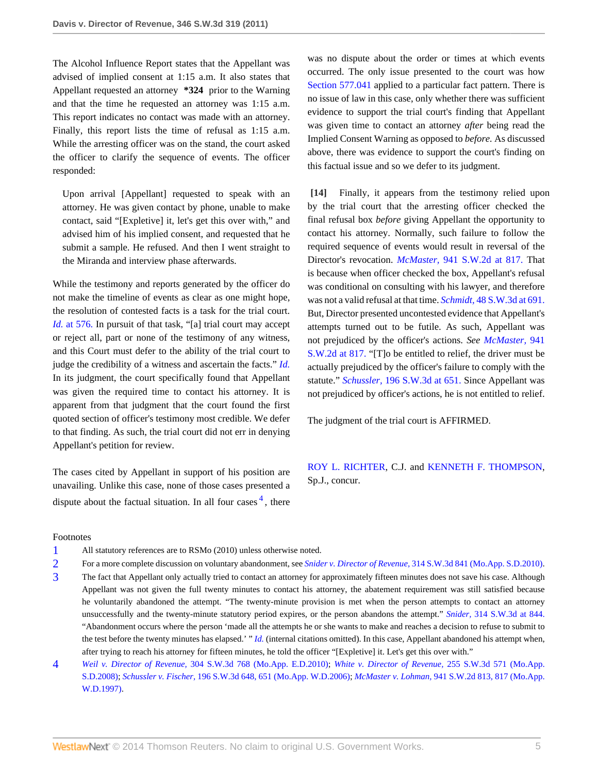The Alcohol Influence Report states that the Appellant was advised of implied consent at 1:15 a.m. It also states that Appellant requested an attorney **\*324** prior to the Warning and that the time he requested an attorney was 1:15 a.m. This report indicates no contact was made with an attorney. Finally, this report lists the time of refusal as 1:15 a.m. While the arresting officer was on the stand, the court asked the officer to clarify the sequence of events. The officer responded:

Upon arrival [Appellant] requested to speak with an attorney. He was given contact by phone, unable to make contact, said "[Expletive] it, let's get this over with," and advised him of his implied consent, and requested that he submit a sample. He refused. And then I went straight to the Miranda and interview phase afterwards.

While the testimony and reports generated by the officer do not make the timeline of events as clear as one might hope, the resolution of contested facts is a task for the trial court. *Id.* [at 576.](http://www.westlaw.com/Link/Document/FullText?findType=Y&serNum=2016386677&originationContext=document&vr=3.0&rs=cblt1.0&transitionType=DocumentItem&contextData=(sc.Search)) In pursuit of that task, "[a] trial court may accept or reject all, part or none of the testimony of any witness, and this Court must defer to the ability of the trial court to judge the credibility of a witness and ascertain the facts." *[Id.](http://www.westlaw.com/Link/Document/FullText?findType=Y&serNum=2016386677&originationContext=document&vr=3.0&rs=cblt1.0&transitionType=DocumentItem&contextData=(sc.Search))* In its judgment, the court specifically found that Appellant was given the required time to contact his attorney. It is apparent from that judgment that the court found the first quoted section of officer's testimony most credible. We defer to that finding. As such, the trial court did not err in denying Appellant's petition for review.

The cases cited by Appellant in support of his position are unavailing. Unlike this case, none of those cases presented a dispute about the factual situation. In all four cases <sup>[4](#page-4-4)</sup>, there

was no dispute about the order or times at which events occurred. The only issue presented to the court was how [Section 577.041](http://www.westlaw.com/Link/Document/FullText?findType=L&pubNum=1000229&cite=MOST577.041&originatingDoc=Ic0709be7a2c411e08bbeb4ca0e5b8ed9&refType=LQ&originationContext=document&vr=3.0&rs=cblt1.0&transitionType=DocumentItem&contextData=(sc.Search)) applied to a particular fact pattern. There is no issue of law in this case, only whether there was sufficient evidence to support the trial court's finding that Appellant was given time to contact an attorney *after* being read the Implied Consent Warning as opposed to *before.* As discussed above, there was evidence to support the court's finding on this factual issue and so we defer to its judgment.

<span id="page-4-0"></span>**[\[14\]](#page-2-5)** Finally, it appears from the testimony relied upon by the trial court that the arresting officer checked the final refusal box *before* giving Appellant the opportunity to contact his attorney. Normally, such failure to follow the required sequence of events would result in reversal of the Director's revocation. *McMaster,* [941 S.W.2d at 817.](http://www.westlaw.com/Link/Document/FullText?findType=Y&serNum=1997079985&pubNum=713&fi=co_pp_sp_713_817&originationContext=document&vr=3.0&rs=cblt1.0&transitionType=DocumentItem&contextData=(sc.Search)#co_pp_sp_713_817) That is because when officer checked the box, Appellant's refusal was conditional on consulting with his lawyer, and therefore was not a valid refusal at that time. *Schmidt,* [48 S.W.3d at 691.](http://www.westlaw.com/Link/Document/FullText?findType=Y&serNum=2001553105&pubNum=4644&fi=co_pp_sp_4644_691&originationContext=document&vr=3.0&rs=cblt1.0&transitionType=DocumentItem&contextData=(sc.Search)#co_pp_sp_4644_691) But, Director presented uncontested evidence that Appellant's attempts turned out to be futile. As such, Appellant was not prejudiced by the officer's actions. *See [McMaster,](http://www.westlaw.com/Link/Document/FullText?findType=Y&serNum=1997079985&pubNum=713&fi=co_pp_sp_713_817&originationContext=document&vr=3.0&rs=cblt1.0&transitionType=DocumentItem&contextData=(sc.Search)#co_pp_sp_713_817)* 941 [S.W.2d at 817.](http://www.westlaw.com/Link/Document/FullText?findType=Y&serNum=1997079985&pubNum=713&fi=co_pp_sp_713_817&originationContext=document&vr=3.0&rs=cblt1.0&transitionType=DocumentItem&contextData=(sc.Search)#co_pp_sp_713_817) "[T]o be entitled to relief, the driver must be actually prejudiced by the officer's failure to comply with the statute." *Schussler,* [196 S.W.3d at 651.](http://www.westlaw.com/Link/Document/FullText?findType=Y&serNum=2009438685&pubNum=4644&fi=co_pp_sp_4644_651&originationContext=document&vr=3.0&rs=cblt1.0&transitionType=DocumentItem&contextData=(sc.Search)#co_pp_sp_4644_651) Since Appellant was not prejudiced by officer's actions, he is not entitled to relief.

The judgment of the trial court is AFFIRMED.

<span id="page-4-5"></span>[ROY L. RICHTER,](http://www.westlaw.com/Link/Document/FullText?findType=h&pubNum=176284&cite=0142904001&originatingDoc=Ic0709be7a2c411e08bbeb4ca0e5b8ed9&refType=RQ&originationContext=document&vr=3.0&rs=cblt1.0&transitionType=DocumentItem&contextData=(sc.Search)) C.J. and [KENNETH F. THOMPSON](http://www.westlaw.com/Link/Document/FullText?findType=h&pubNum=176284&cite=0142828601&originatingDoc=Ic0709be7a2c411e08bbeb4ca0e5b8ed9&refType=RQ&originationContext=document&vr=3.0&rs=cblt1.0&transitionType=DocumentItem&contextData=(sc.Search)), Sp.J., concur.

#### Footnotes

- <span id="page-4-1"></span>[1](#page-2-6) All statutory references are to RSMo (2010) unless otherwise noted.
- <span id="page-4-2"></span>[2](#page-3-8) For a more complete discussion on voluntary abandonment, see *Snider v. Director of Revenue,* [314 S.W.3d 841 \(Mo.App. S.D.2010\).](http://www.westlaw.com/Link/Document/FullText?findType=Y&serNum=2022482264&pubNum=4644&originationContext=document&vr=3.0&rs=cblt1.0&transitionType=DocumentItem&contextData=(sc.Search))
- <span id="page-4-3"></span>[3](#page-3-9) The fact that Appellant only actually tried to contact an attorney for approximately fifteen minutes does not save his case. Although Appellant was not given the full twenty minutes to contact his attorney, the abatement requirement was still satisfied because he voluntarily abandoned the attempt. "The twenty-minute provision is met when the person attempts to contact an attorney unsuccessfully and the twenty-minute statutory period expires, or the person abandons the attempt." *Snider,* [314 S.W.3d at 844.](http://www.westlaw.com/Link/Document/FullText?findType=Y&serNum=2022482264&pubNum=4644&fi=co_pp_sp_4644_844&originationContext=document&vr=3.0&rs=cblt1.0&transitionType=DocumentItem&contextData=(sc.Search)#co_pp_sp_4644_844) "Abandonment occurs where the person 'made all the attempts he or she wants to make and reaches a decision to refuse to submit to the test before the twenty minutes has elapsed.' " *[Id.](http://www.westlaw.com/Link/Document/FullText?findType=Y&serNum=2022482264&originationContext=document&vr=3.0&rs=cblt1.0&transitionType=DocumentItem&contextData=(sc.Search))* (internal citations omitted). In this case, Appellant abandoned his attempt when, after trying to reach his attorney for fifteen minutes, he told the officer "[Expletive] it. Let's get this over with."

<span id="page-4-4"></span>[4](#page-4-5) *Weil v. Director of Revenue,* [304 S.W.3d 768 \(Mo.App. E.D.2010\)](http://www.westlaw.com/Link/Document/FullText?findType=Y&serNum=2021414641&pubNum=4644&originationContext=document&vr=3.0&rs=cblt1.0&transitionType=DocumentItem&contextData=(sc.Search)); *[White v. Director of Revenue,](http://www.westlaw.com/Link/Document/FullText?findType=Y&serNum=2016386677&pubNum=4644&originationContext=document&vr=3.0&rs=cblt1.0&transitionType=DocumentItem&contextData=(sc.Search))* 255 S.W.3d 571 (Mo.App. [S.D.2008\);](http://www.westlaw.com/Link/Document/FullText?findType=Y&serNum=2016386677&pubNum=4644&originationContext=document&vr=3.0&rs=cblt1.0&transitionType=DocumentItem&contextData=(sc.Search)) *Schussler v. Fischer,* [196 S.W.3d 648, 651 \(Mo.App. W.D.2006\);](http://www.westlaw.com/Link/Document/FullText?findType=Y&serNum=2009438685&pubNum=4644&fi=co_pp_sp_4644_651&originationContext=document&vr=3.0&rs=cblt1.0&transitionType=DocumentItem&contextData=(sc.Search)#co_pp_sp_4644_651) *McMaster v. Lohman,* [941 S.W.2d 813, 817 \(Mo.App.](http://www.westlaw.com/Link/Document/FullText?findType=Y&serNum=1997079985&pubNum=713&fi=co_pp_sp_713_817&originationContext=document&vr=3.0&rs=cblt1.0&transitionType=DocumentItem&contextData=(sc.Search)#co_pp_sp_713_817) [W.D.1997\)](http://www.westlaw.com/Link/Document/FullText?findType=Y&serNum=1997079985&pubNum=713&fi=co_pp_sp_713_817&originationContext=document&vr=3.0&rs=cblt1.0&transitionType=DocumentItem&contextData=(sc.Search)#co_pp_sp_713_817).